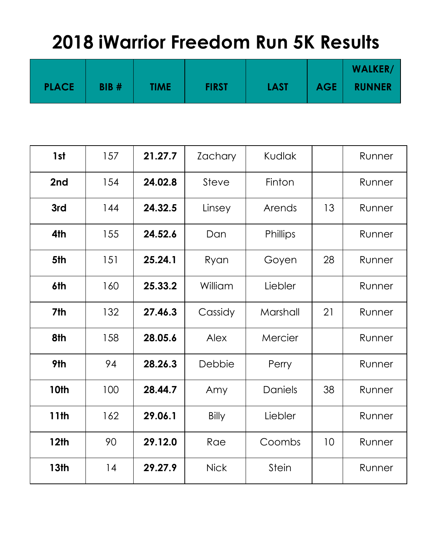|              |      |             |              |             |            | <b>WALKER/</b> |
|--------------|------|-------------|--------------|-------------|------------|----------------|
| <b>PLACE</b> | BIB# | <b>TIME</b> | <b>FIRST</b> | <b>LAST</b> | <b>AGE</b> | <b>RUNNER</b>  |

| 1st         | 157 | 21.27.7 | Zachary      | <b>Kudlak</b>  |    | Runner |
|-------------|-----|---------|--------------|----------------|----|--------|
| 2nd         | 154 | 24.02.8 | Steve        | Finton         |    | Runner |
| 3rd         | 144 | 24.32.5 | Linsey       | Arends         | 13 | Runner |
| 4th         | 155 | 24.52.6 | Dan          | Phillips       |    | Runner |
| 5th         | 151 | 25.24.1 | Ryan         | Goyen          | 28 | Runner |
| 6th         | 160 | 25.33.2 | William      | Liebler        |    | Runner |
| 7th         | 132 | 27.46.3 | Cassidy      | Marshall       | 21 | Runner |
| 8th         | 158 | 28.05.6 | Alex         | Mercier        |    | Runner |
| 9th         | 94  | 28.26.3 | Debbie       | Perry          |    | Runner |
| 10th        | 100 | 28.44.7 | Amy          | <b>Daniels</b> | 38 | Runner |
| 11th        | 162 | 29.06.1 | <b>Billy</b> | Liebler        |    | Runner |
| <b>12th</b> | 90  | 29.12.0 | Rae          | Coombs         | 10 | Runner |
| <b>13th</b> | 14  | 29.27.9 | <b>Nick</b>  | <b>Stein</b>   |    | Runner |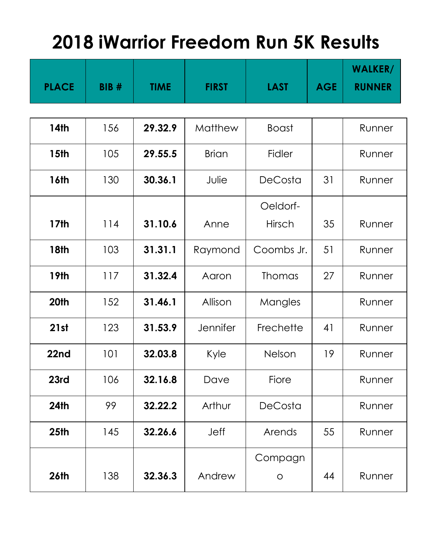|                  |             |             |              |                |            | <b>WALKER/</b> |  |  |
|------------------|-------------|-------------|--------------|----------------|------------|----------------|--|--|
| <b>PLACE</b>     | <b>BIB#</b> | <b>TIME</b> | <b>FIRST</b> | <b>LAST</b>    | <b>AGE</b> | <b>RUNNER</b>  |  |  |
|                  |             |             |              |                |            |                |  |  |
| <b>14th</b>      | 156         | 29.32.9     | Matthew      | <b>Boast</b>   |            | Runner         |  |  |
| <b>15th</b>      | 105         | 29.55.5     | <b>Brian</b> | <b>Fidler</b>  |            | Runner         |  |  |
| <b>16th</b>      | 130         | 30.36.1     | Julie        | <b>DeCosta</b> | 31         | Runner         |  |  |
|                  |             |             |              | Oeldorf-       |            |                |  |  |
| <b>17th</b>      | 114         | 31.10.6     | Anne         | Hirsch         | 35         | Runner         |  |  |
| <b>18th</b>      | 103         | 31.31.1     | Raymond      | Coombs Jr.     | 51         | Runner         |  |  |
| <b>19th</b>      | 117         | 31.32.4     | Aaron        | <b>Thomas</b>  | 27         | Runner         |  |  |
| 20th             | 152         | 31.46.1     | Allison      | Mangles        |            | Runner         |  |  |
| 21st             | 123         | 31.53.9     | Jennifer     | Frechette      | 41         | Runner         |  |  |
| 22nd             | 101         | 32.03.8     | Kyle         | Nelson         | 19         | Runner         |  |  |
| 23rd             | 106         | 32.16.8     | Dave         | Fiore          |            | Runner         |  |  |
| <b>24th</b>      | 99          | 32.22.2     | Arthur       | DeCosta        |            | Runner         |  |  |
| 25 <sub>th</sub> | 145         | 32.26.6     | Jeff         | Arends         | 55         | Runner         |  |  |
|                  |             |             |              | Compagn        |            |                |  |  |
| <b>26th</b>      | 138         | 32.36.3     | Andrew       | $\circ$        | 44         | Runner         |  |  |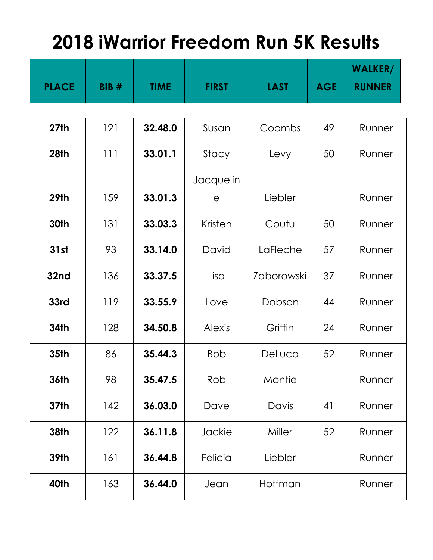|              |             |             |               |             |            | <b>WALKER/</b> |
|--------------|-------------|-------------|---------------|-------------|------------|----------------|
| <b>PLACE</b> | <b>BIB#</b> | <b>TIME</b> | <b>FIRST</b>  | <b>LAST</b> | <b>AGE</b> | <b>RUNNER</b>  |
|              |             |             |               |             |            |                |
| 27th         | 121         | 32.48.0     | Susan         | Coombs      | 49         | Runner         |
| 28th         | 111         | 33.01.1     | Stacy         | Levy        | 50         | Runner         |
|              |             |             | Jacquelin     |             |            |                |
| <b>29th</b>  | 159         | 33.01.3     | $\mathsf{e}$  | Liebler     |            | Runner         |
| 30th         | 131         | 33.03.3     | Kristen       | Coutu       | 50         | Runner         |
| 31st         | 93          | 33.14.0     | David         | LaFleche    | 57         | Runner         |
| 32nd         | 136         | 33.37.5     | Lisa          | Zaborowski  | 37         | Runner         |
| 33rd         | 119         | 33.55.9     | Love          | Dobson      | 44         | Runner         |
| <b>34th</b>  | 128         | 34.50.8     | <b>Alexis</b> | Griffin     | 24         | Runner         |
| <b>35th</b>  | 86          | 35.44.3     | <b>Bob</b>    | DeLuca      | 52         | Runner         |
| 36th         | 98          | 35.47.5     | Rob           | Montie      |            | Runner         |
| 37th         | 142         | 36.03.0     | Dave          | Davis       | 41         | Runner         |
| <b>38th</b>  | 122         | 36.11.8     | Jackie        | Miller      | 52         | Runner         |
| <b>39th</b>  | 161         | 36.44.8     | Felicia       | Liebler     |            | Runner         |
| 40th         | 163         | 36.44.0     | Jean          | Hoffman     |            | Runner         |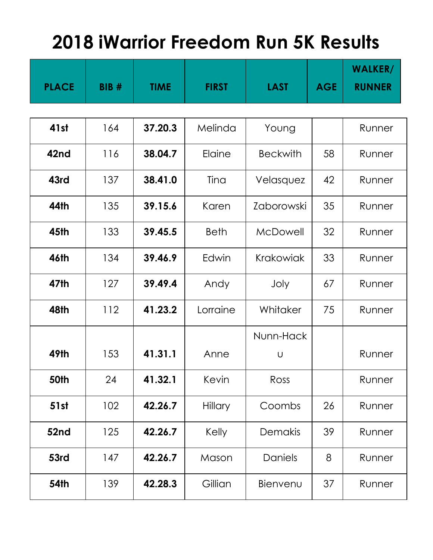|              |             |             |              |                 |            | <b>WALKER/</b> |  |  |
|--------------|-------------|-------------|--------------|-----------------|------------|----------------|--|--|
| <b>PLACE</b> | <b>BIB#</b> | <b>TIME</b> | <b>FIRST</b> | <b>LAST</b>     | <b>AGE</b> | <b>RUNNER</b>  |  |  |
|              |             |             |              |                 |            |                |  |  |
| 41st         | 164         | 37.20.3     | Melinda      | Young           |            | Runner         |  |  |
| 42nd         | 116         | 38.04.7     | Elaine       | <b>Beckwith</b> | 58         | Runner         |  |  |
| 43rd         | 137         | 38.41.0     | Tina         | Velasquez       | 42         | Runner         |  |  |
| 44th         | 135         | 39.15.6     | Karen        | Zaborowski      | 35         | Runner         |  |  |
| <b>45th</b>  | 133         | 39.45.5     | <b>Beth</b>  | McDowell        | 32         | Runner         |  |  |
| <b>46th</b>  | 134         | 39.46.9     | Edwin        | Krakowiak       | 33         | Runner         |  |  |
| 47th         | 127         | 39.49.4     | Andy         | Joly            | 67         | Runner         |  |  |
| 48th         | 112         | 41.23.2     | Lorraine     | Whitaker        | 75         | Runner         |  |  |
|              |             |             |              | Nunn-Hack       |            |                |  |  |
| 49th         | 153         | 41.31.1     | Anne         | U               |            | Runner         |  |  |
| 50th         | 24          | 41.32.1     | Kevin        | Ross            |            | Runner         |  |  |
| 51st         | 102         | 42.26.7     | Hillary      | Coombs          | 26         | Runner         |  |  |
| 52nd         | 125         | 42.26.7     | Kelly        | Demakis         | 39         | Runner         |  |  |
| 53rd         | 147         | 42.26.7     | Mason        | Daniels         | 8          | Runner         |  |  |
| <b>54th</b>  | 139         | 42.28.3     | Gillian      | Bienvenu        | 37         | Runner         |  |  |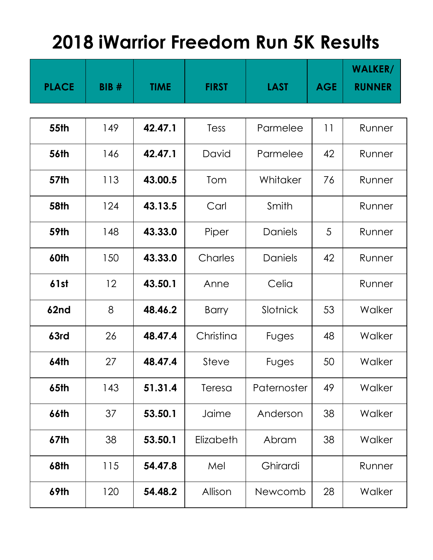|              |             |             |              |             |            | <b>WALKER/</b> |  |  |
|--------------|-------------|-------------|--------------|-------------|------------|----------------|--|--|
| <b>PLACE</b> | <b>BIB#</b> | <b>TIME</b> | <b>FIRST</b> | <b>LAST</b> | <b>AGE</b> | <b>RUNNER</b>  |  |  |
|              |             |             |              |             |            |                |  |  |
| <b>55th</b>  | 149         | 42.47.1     | Tess         | Parmelee    | 11         | Runner         |  |  |
| <b>56th</b>  | 146         | 42.47.1     | David        | Parmelee    | 42         | Runner         |  |  |
| <b>57th</b>  | 113         | 43.00.5     | Tom          | Whitaker    | 76         | Runner         |  |  |
| <b>58th</b>  | 124         | 43.13.5     | Carl         | Smith       |            | Runner         |  |  |
| <b>59th</b>  | 148         | 43.33.0     | Piper        | Daniels     | 5          | Runner         |  |  |
| 60th         | 150         | 43.33.0     | Charles      | Daniels     | 42         | Runner         |  |  |
| 61st         | 12          | 43.50.1     | Anne         | Celia       |            | Runner         |  |  |
| 62nd         | 8           | 48.46.2     | <b>Barry</b> | Slotnick    | 53         | Walker         |  |  |
| 63rd         | 26          | 48.47.4     | Christina    | Fuges       | 48         | Walker         |  |  |
| <b>64th</b>  | 27          | 48.47.4     | Steve        | Fuges       | 50         | Walker         |  |  |
| 65th         | 143         | 51.31.4     | Teresa       | Paternoster | 49         | Walker         |  |  |
| 66th         | 37          | 53.50.1     | Jaime        | Anderson    | 38         | Walker         |  |  |
| 67th         | 38          | 53.50.1     | Elizabeth    | Abram       | 38         | Walker         |  |  |
| <b>68th</b>  | 115         | 54.47.8     | Mel          | Ghirardi    |            | Runner         |  |  |
| 69th         | 120         | 54.48.2     | Allison      | Newcomb     | 28         | Walker         |  |  |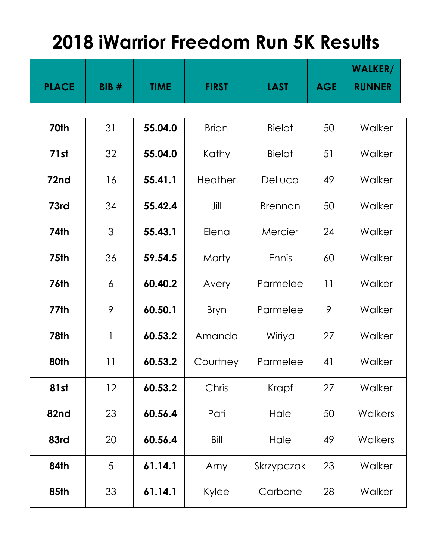|              |             |             |              |                |            | <b>WALKER/</b> |  |  |
|--------------|-------------|-------------|--------------|----------------|------------|----------------|--|--|
| <b>PLACE</b> | <b>BIB#</b> | <b>TIME</b> | <b>FIRST</b> | <b>LAST</b>    | <b>AGE</b> | <b>RUNNER</b>  |  |  |
|              |             |             |              |                |            |                |  |  |
| 70th         | 31          | 55.04.0     | <b>Brian</b> | <b>Bielot</b>  | 50         | Walker         |  |  |
| 71st         | 32          | 55.04.0     | Kathy        | <b>Bielot</b>  | 51         | Walker         |  |  |
| 72nd         | 16          | 55.41.1     | Heather      | DeLuca         | 49         | Walker         |  |  |
| 73rd         | 34          | 55.42.4     | Jill         | <b>Brennan</b> | 50         | Walker         |  |  |
| <b>74th</b>  | 3           | 55.43.1     | Elena        | Mercier        | 24         | Walker         |  |  |
| 75th         | 36          | 59.54.5     | Marty        | Ennis          | 60         | Walker         |  |  |
| <b>76th</b>  | 6           | 60.40.2     | Avery        | Parmelee       | 11         | Walker         |  |  |
| 77th         | 9           | 60.50.1     | <b>Bryn</b>  | Parmelee       | 9          | Walker         |  |  |
| <b>78th</b>  | 1           | 60.53.2     | Amanda       | Wiriya         | 27         | Walker         |  |  |
| 80th         | 11          | 60.53.2     | Courtney     | Parmelee       | 41         | Walker         |  |  |
| <b>81st</b>  | 12          | 60.53.2     | Chris        | Krapf          | 27         | Walker         |  |  |
| 82nd         | 23          | 60.56.4     | Pati         | Hale           | 50         | <b>Walkers</b> |  |  |
| 83rd         | 20          | 60.56.4     | Bill         | Hale           | 49         | <b>Walkers</b> |  |  |
| 84th         | 5           | 61.14.1     | Amy          | Skrzypczak     | 23         | Walker         |  |  |
| <b>85th</b>  | 33          | 61.14.1     | Kylee        | Carbone        | 28         | Walker         |  |  |